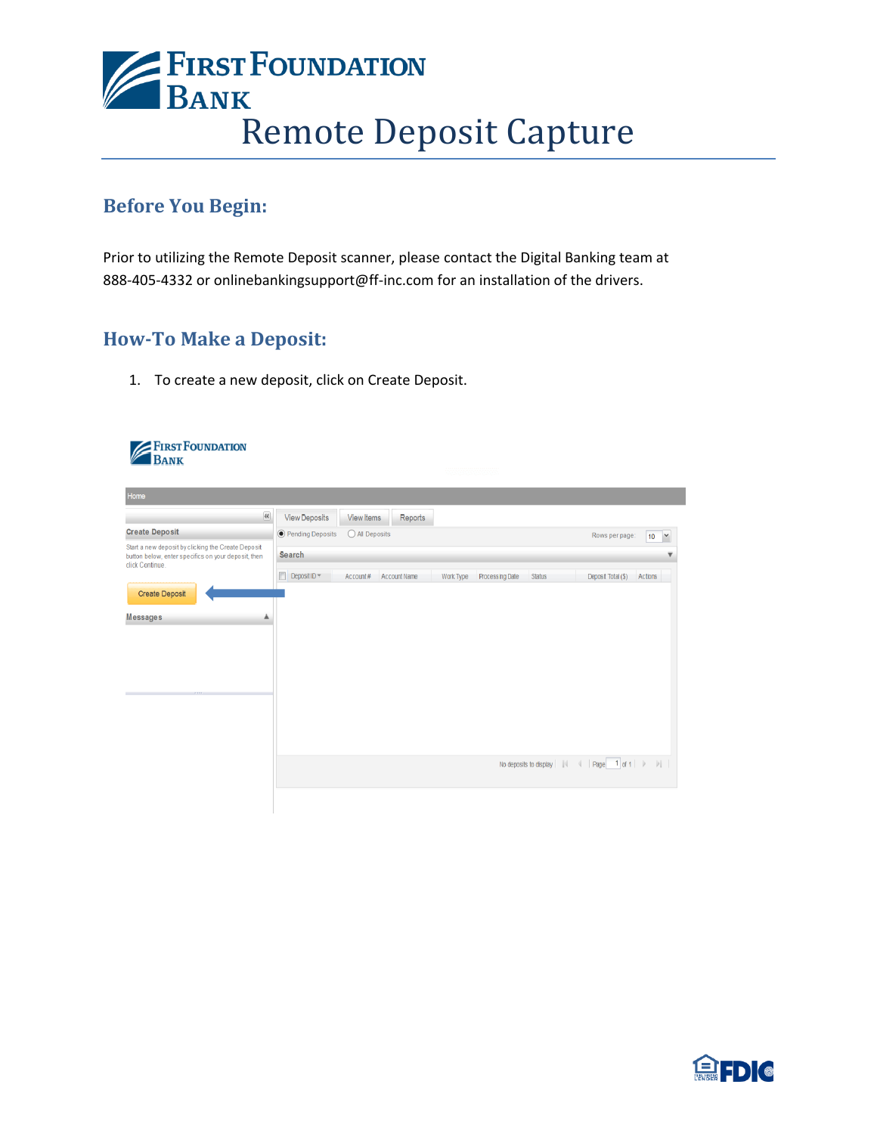

## **Before You Begin:**

Prior to utilizing the Remote Deposit scanner, please contact the Digital Banking team at 888-405-4332 or onlinebankingsupport@ff-inc.com for an installation of the drivers.

## **How-To Make a Deposit:**

1. To create a new deposit, click on Create Deposit.

| <b>FIRST FOUNDATION</b>                                                                                                      |                                                                                                                                        |
|------------------------------------------------------------------------------------------------------------------------------|----------------------------------------------------------------------------------------------------------------------------------------|
| Bank                                                                                                                         | mana ang ka                                                                                                                            |
| Home                                                                                                                         |                                                                                                                                        |
| $\overline{\mathcal{R}}$                                                                                                     | <b>View Deposits</b><br><b>View Items</b><br>Reports                                                                                   |
| <b>Create Deposit</b>                                                                                                        | ● Pending Deposits<br>O All Deposits<br>Rows per page:<br>10<br>$^\vee$                                                                |
| Start a new deposit by clicking the Create Deposit<br>button below, enter specifics on your deposit, then<br>click Continue. | Search<br>▼                                                                                                                            |
| <b>Create Deposit</b><br><b>Messages</b>                                                                                     | $\Box$ Deposit ID $\neq$<br>Account Name<br>Account#<br>Work Type<br>Processing Date<br><b>Status</b><br>Deposit Total (\$)<br>Actions |
|                                                                                                                              | $\parallel$   Page   1 of 1   $\parallel$   $\parallel$  <br>No deposits to display                                                    |
|                                                                                                                              |                                                                                                                                        |

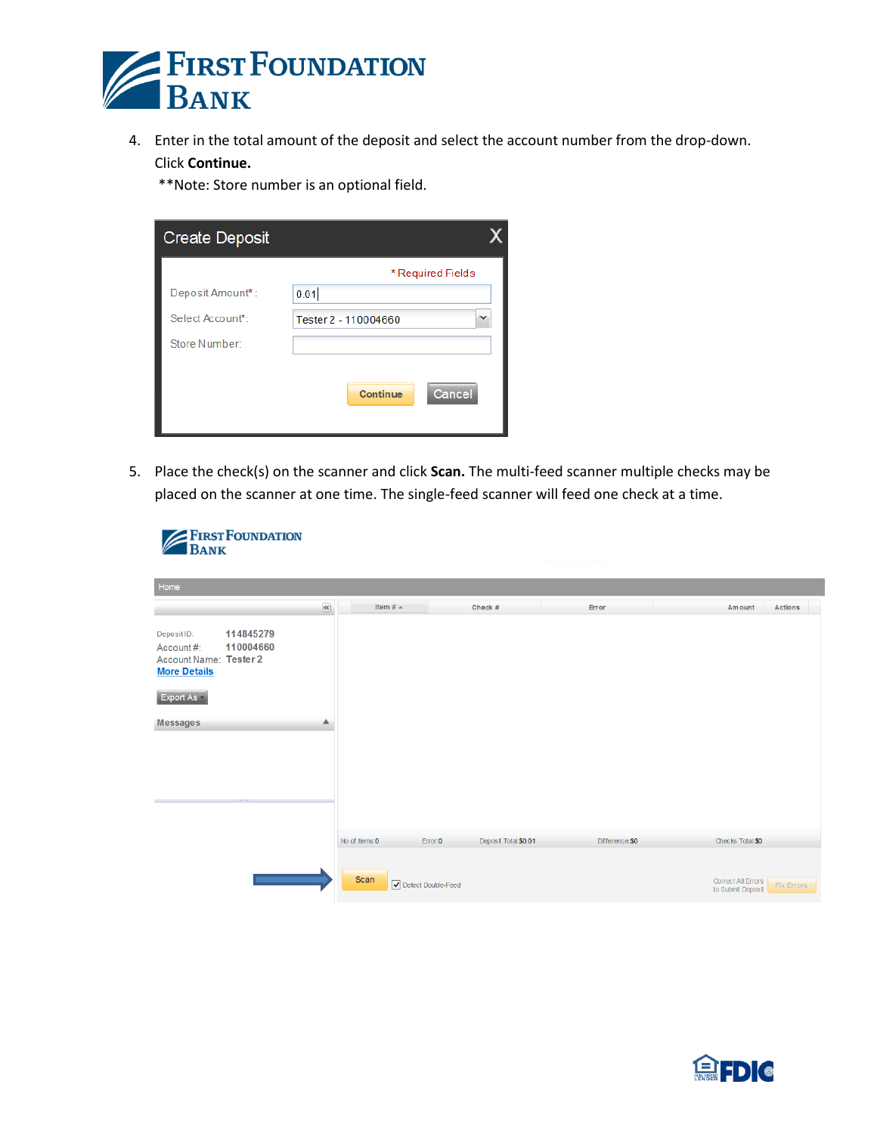

4. Enter in the total amount of the deposit and select the account number from the drop-down. Click **Continue.**

\*\*Note: Store number is an optional field.

| <b>Create Deposit</b> |                      |  |
|-----------------------|----------------------|--|
|                       | * Required Fields    |  |
| Deposit Amount*:      | 0.01                 |  |
| Select Account*:      | Tester 2 - 110004660 |  |
| Store Number:         |                      |  |
|                       | Cancel<br>Continue   |  |

5. Place the check(s) on the scanner and click **Scan.** The multi-feed scanner multiple checks may be placed on the scanner at one time. The single-feed scanner will feed one check at a time.

| <b>BANK</b>                                                                                               | <b>ERST FOUNDATION</b>         |                                                      |                    |                      |                |                                                              |
|-----------------------------------------------------------------------------------------------------------|--------------------------------|------------------------------------------------------|--------------------|----------------------|----------------|--------------------------------------------------------------|
| Home                                                                                                      |                                |                                                      |                    |                      |                |                                                              |
|                                                                                                           |                                | $\left\langle \mathbf{Q}\right\rangle$<br>Item $# =$ |                    | Check #              | Error          | <b>Actions</b><br>Amount                                     |
| Deposit ID:<br>Account#:<br>Account Name: Tester 2<br><b>More Details</b><br>Export As<br><b>Messages</b> | 114845279<br>110004660<br>,,,, | ▴                                                    |                    |                      |                |                                                              |
|                                                                                                           |                                | No of Items:0                                        | Error:0            | Deposit Total:\$0.01 | Difference:\$0 | Checks Total: \$0                                            |
|                                                                                                           |                                | Scan                                                 | Detect Double-Feed |                      |                | Correct All Errors<br><b>Fix Errors</b><br>to Submit Deposit |

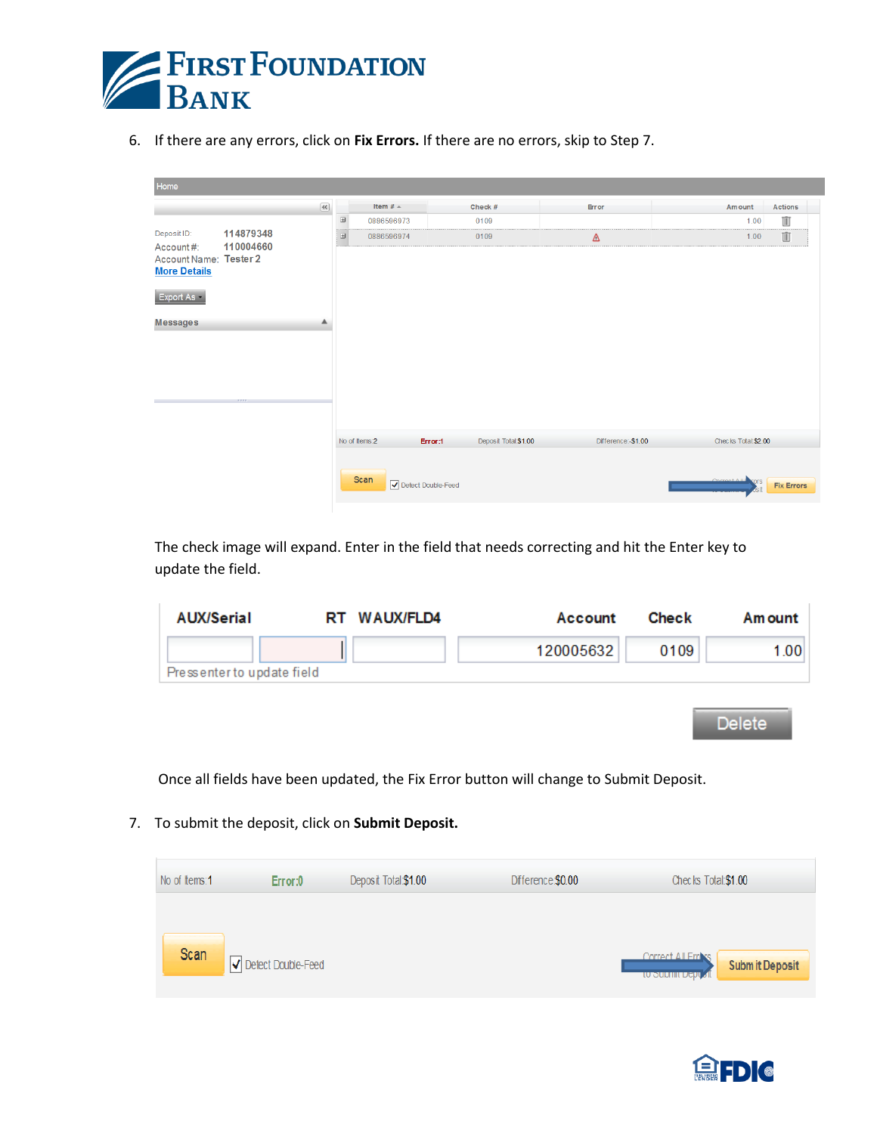

6. If there are any errors, click on **Fix Errors.** If there are no errors, skip to Step 7.

| Home                                                                            |                        |                                        |            |               |                    |                      |                    |                              |                   |
|---------------------------------------------------------------------------------|------------------------|----------------------------------------|------------|---------------|--------------------|----------------------|--------------------|------------------------------|-------------------|
|                                                                                 |                        | $\left\langle \mathbf{Q}\right\rangle$ |            | Item $#$ $=$  |                    | Check #              | Error              | Amount                       | <b>Actions</b>    |
|                                                                                 |                        |                                        | $\boxplus$ | 0886596973    |                    | 0109                 |                    | 1.00                         | <b>III</b>        |
| Deposit ID:<br>Account#:                                                        | 114879348<br>110004660 |                                        | ⊕          | 0886596974    |                    | 0109                 | $\Delta$           | 1.00                         | Ŵ                 |
| Account Name: Tester 2<br><b>More Details</b><br>Export As -<br><b>Messages</b> | 3337.                  | ▴                                      |            |               |                    |                      |                    |                              |                   |
|                                                                                 |                        |                                        |            | No of Items:2 | Error:1            | Deposit Total:\$1.00 | Difference:-\$1.00 | Checks Total:\$2.00          |                   |
|                                                                                 |                        |                                        |            | Scan          | Detect Double-Feed |                      |                    | Correct All P<br><b>YOFS</b> | <b>Fix Errors</b> |

The check image will expand. Enter in the field that needs correcting and hit the Enter key to update the field.

| AUX/Serial                 | RT WAUX/FLD4 | Account   | Check | Am ount |
|----------------------------|--------------|-----------|-------|---------|
|                            |              | 120005632 | 0109  | 1.001   |
| Pressenter to update field |              |           |       |         |
|                            |              |           |       |         |

Delete

Once all fields have been updated, the Fix Error button will change to Submit Deposit.

7. To submit the deposit, click on **Submit Deposit.**

| No of Items: 1 | Error:0            | Deposit Total:\$1.00 | Difference:\$0.00 | Checks Total:\$1.00                                                      |
|----------------|--------------------|----------------------|-------------------|--------------------------------------------------------------------------|
| Scan           | Detect Double-Feed |                      |                   | Correct All Frrase<br><b>Submit Deposit</b><br><b>TO SUDITIL DEPL 3R</b> |

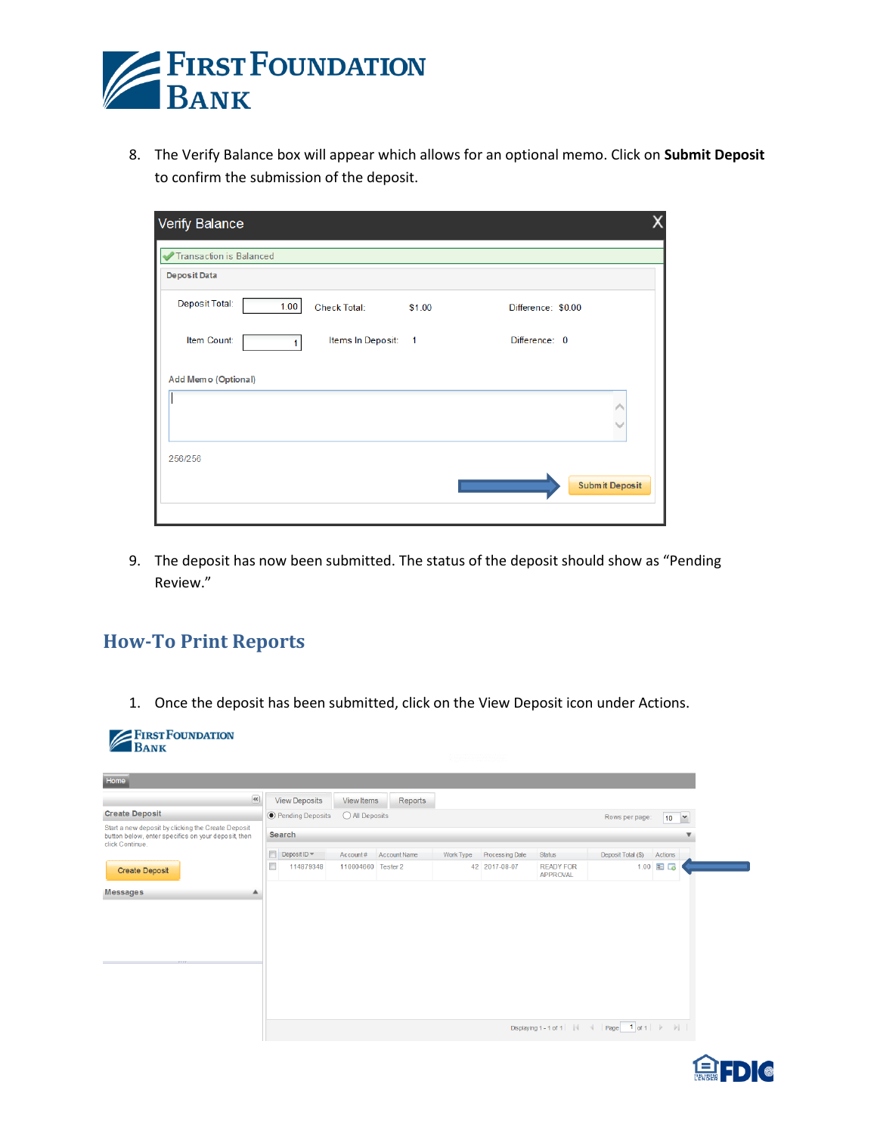

8. The Verify Balance box will appear which allows for an optional memo. Click on **Submit Deposit** to confirm the submission of the deposit.

| Verify Balance                                 |                     |                |                       |  |
|------------------------------------------------|---------------------|----------------|-----------------------|--|
| <b>Transaction is Balanced</b><br>Deposit Data |                     |                |                       |  |
| Deposit Total:<br>1.00                         | <b>Check Total:</b> | \$1.00         | Difference: \$0.00    |  |
| Item Count:                                    | Items In Deposit:   | $\overline{1}$ | Difference: 0         |  |
| Add Memo (Optional)                            |                     |                |                       |  |
|                                                |                     |                |                       |  |
| 256/256                                        |                     |                | <b>Submit Deposit</b> |  |

9. The deposit has now been submitted. The status of the deposit should show as "Pending Review."

## **How-To Print Reports**

1. Once the deposit has been submitted, click on the View Deposit icon under Actions.

| <b>EFIRST FOUNDATION</b><br><b>BANK</b>                                                                                      |        |                           |                    |              |           |                 |                                     |                                             |                                      |  |  |
|------------------------------------------------------------------------------------------------------------------------------|--------|---------------------------|--------------------|--------------|-----------|-----------------|-------------------------------------|---------------------------------------------|--------------------------------------|--|--|
| Home                                                                                                                         |        |                           |                    |              |           |                 |                                     |                                             |                                      |  |  |
| $\left\langle \mathbf{K}\right\rangle$                                                                                       |        | <b>View Deposits</b>      | <b>View Items</b>  | Reports      |           |                 |                                     |                                             |                                      |  |  |
| <b>Create Deposit</b>                                                                                                        |        | <b>O</b> Pending Deposits | All Deposits       |              |           |                 |                                     | Rows per page:                              | 10 <sup>°</sup><br>$\check{ }$       |  |  |
| Start a new deposit by clicking the Create Deposit<br>button below, enter specifics on your deposit, then<br>click Continue. |        | <b>Search</b>             |                    |              |           |                 |                                     |                                             |                                      |  |  |
|                                                                                                                              | $\Box$ | Deposit ID $\equiv$       | Account#           | Account Name | Work Type | Processing Date | Status                              | Deposit Total (\$)                          | Actions                              |  |  |
| <b>Create Deposit</b>                                                                                                        | Г      | 114879348                 | 110004660 Tester 2 |              |           | 42 2017-08-07   | <b>READY FOR</b><br><b>APPROVAL</b> |                                             | $1.00$ $\blacksquare$ $\blacksquare$ |  |  |
| <b>Messages</b><br>▲                                                                                                         |        |                           |                    |              |           |                 |                                     |                                             |                                      |  |  |
|                                                                                                                              |        |                           |                    |              |           |                 |                                     |                                             |                                      |  |  |
|                                                                                                                              |        |                           |                    |              |           |                 |                                     |                                             |                                      |  |  |
|                                                                                                                              |        |                           |                    |              |           |                 |                                     |                                             |                                      |  |  |
|                                                                                                                              |        |                           |                    |              |           |                 |                                     |                                             |                                      |  |  |
|                                                                                                                              |        |                           |                    |              |           |                 |                                     |                                             |                                      |  |  |
|                                                                                                                              |        |                           |                    |              |           |                 |                                     |                                             |                                      |  |  |
|                                                                                                                              |        |                           |                    |              |           |                 |                                     | Displaying 1-1 of 1       4   Page   1 of 1 |                                      |  |  |